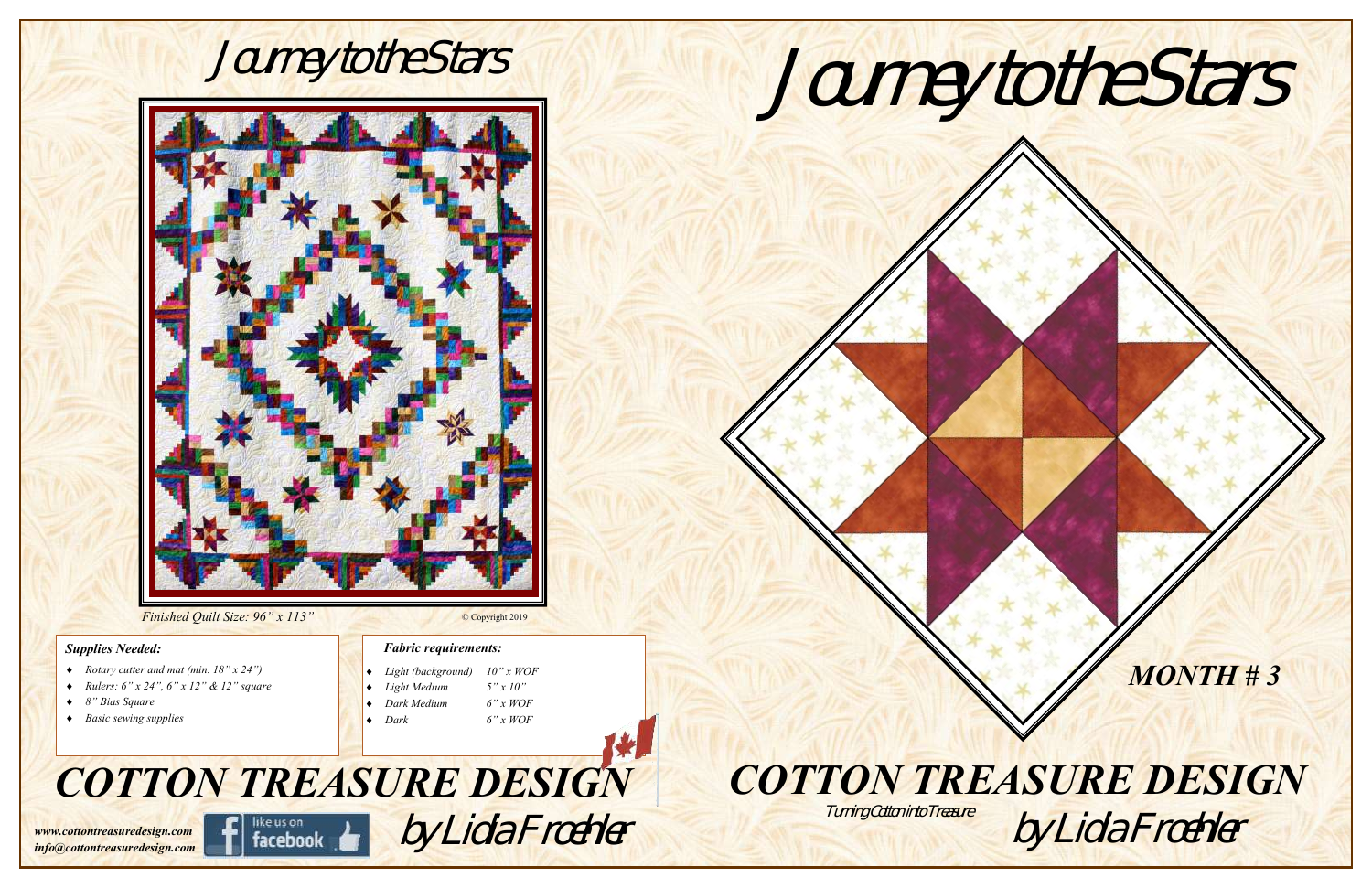



#### *Finished Quilt Size: 96" x 113"*

#### *Supplies Needed:*

- *Rotary cutter and mat (min. 18" x 24")*
- *Rulers: 6" x 24", 6" x 12" & 12" square*
- *8" Bias Square*
- *Basic sewing supplies*

#### *Fabric requirements:*



*www.cottontreasuredesign.com info@cottontreasuredesign.com*

# *COTTON TREASURE DESIGN*



#### © Copyright 2019

|  | $\bullet$ Light (background) 10" x WOF |             |
|--|----------------------------------------|-------------|
|  | $\big $ + <i>Light Medium</i>          | $5''$ x 10" |
|  | $\bullet$ Dark Medium                  | $6"$ x WOF  |
|  | $\bullet$ Dark                         | $6"$ x WOF  |

Turning Cotton into Treasure